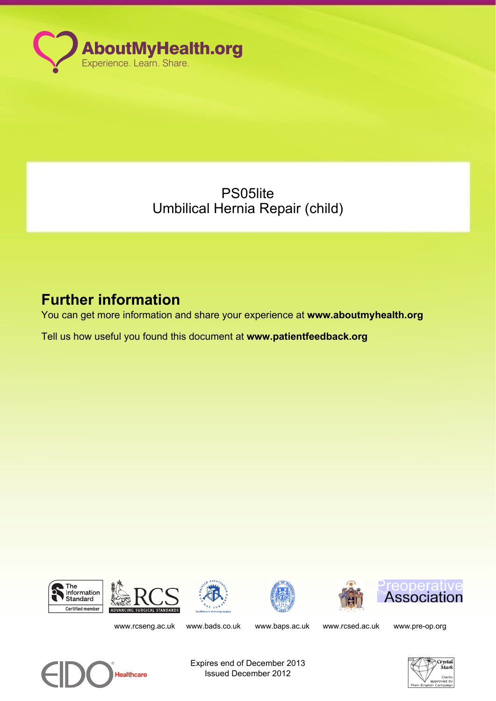

PS05lite Umbilical Hernia Repair (child)

# **Further information**

You can get more information and share your experience at **www.aboutmyhealth.org**

Tell us how useful you found this document at **www.patientfeedback.org**













www.rcseng.ac.uk www.bads.co.uk www.baps.ac.uk www.rcsed.ac.uk www.pre-op.org



Expires end of December 2013 Issued December 2012